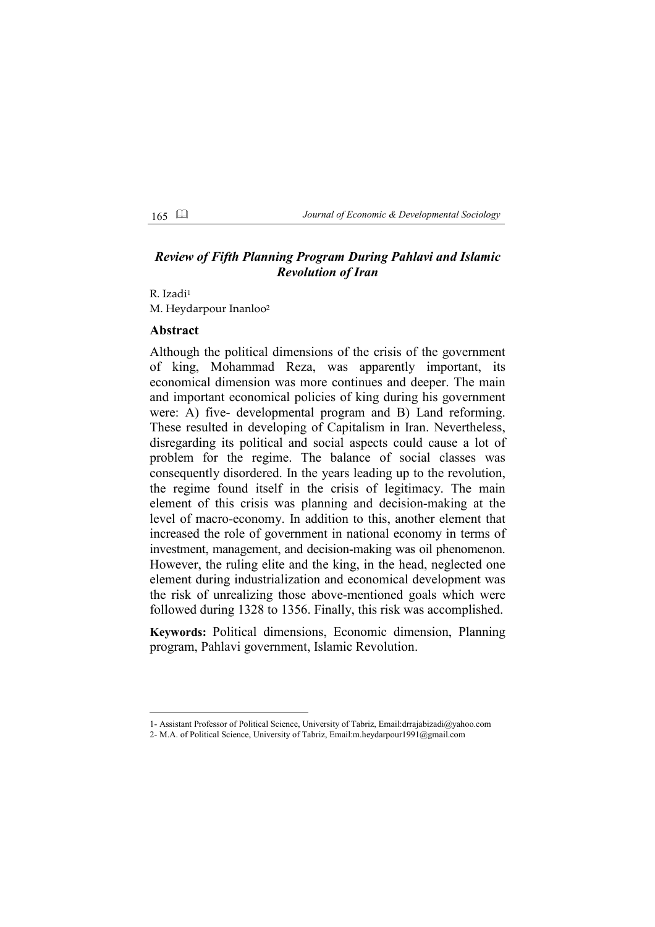165 *Journal of Economic & Developmental Sociology*

# *Review of Fifth Planning Program During Pahlavi and Islamic Revolution of Iran*

R. Izadi<sup>1</sup> M. Heydarpour Inanloo<sup>2</sup>

## **Abstract**

Although the political dimensions of the crisis of the government of king, Mohammad Reza, was apparently important, its economical dimension was more continues and deeper. The main and important economical policies of king during his government were: A) five- developmental program and B) Land reforming. These resulted in developing of Capitalism in Iran. Nevertheless, disregarding its political and social aspects could cause a lot of problem for the regime. The balance of social classes was consequently disordered. In the years leading up to the revolution, the regime found itself in the crisis of legitimacy. The main element of this crisis was planning and decision-making at the level of macro-economy. In addition to this, another element that increased the role of government in national economy in terms of investment, management, and decision-making was oil phenomenon. However, the ruling elite and the king, in the head, neglected one element during industrialization and economical development was the risk of unrealizing those above-mentioned goals which were followed during 1328 to 1356. Finally, this risk was accomplished.

**Keywords:** Political dimensions, Economic dimension, Planning program, Pahlavi government, Islamic Revolution.

<sup>1-</sup> Assistant Professor of Political Science, University of Tabriz, Email:drrajabizadi@yahoo.com

<sup>2-</sup> M.A. of Political Science, University of Tabriz, Email:m.heydarpour1991@gmail.com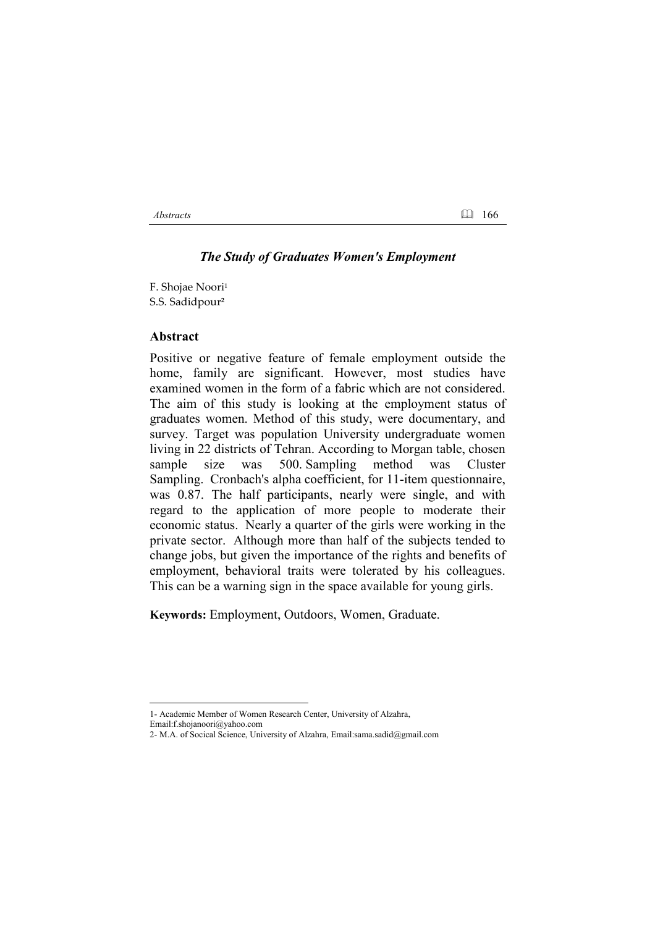#### *Abstracts* 166

#### *The Study of Graduates Women's Employment*

F. Shojae Noori<sup>1</sup> S.S. Sadidpour**�**

#### **Abstract**

Positive or negative feature of female employment outside the home, family are significant. However, most studies have examined women in the form of a fabric which are not considered. The aim of this study is looking at the employment status of graduates women. Method of this study, were documentary, and survey. Target was population University undergraduate women living in 22 districts of Tehran. According to Morgan table, chosen sample size was 500. Sampling method was Cluster Sampling. Cronbach's alpha coefficient, for 11-item questionnaire, was 0.87. The half participants, nearly were single, and with regard to the application of more people to moderate their economic status. Nearly a quarter of the girls were working in the private sector. Although more than half of the subjects tended to change jobs, but given the importance of the rights and benefits of employment, behavioral traits were tolerated by his colleagues. This can be a warning sign in the space available for young girls.

**Keywords:** Employment, Outdoors, Women, Graduate.

<sup>1-</sup> Academic Member of Women Research Center, University of Alzahra,

Email:f.shojanoori@yahoo.com

<sup>2-</sup> M.A. of Socical Science, University of Alzahra, Email:sama.sadid@gmail.com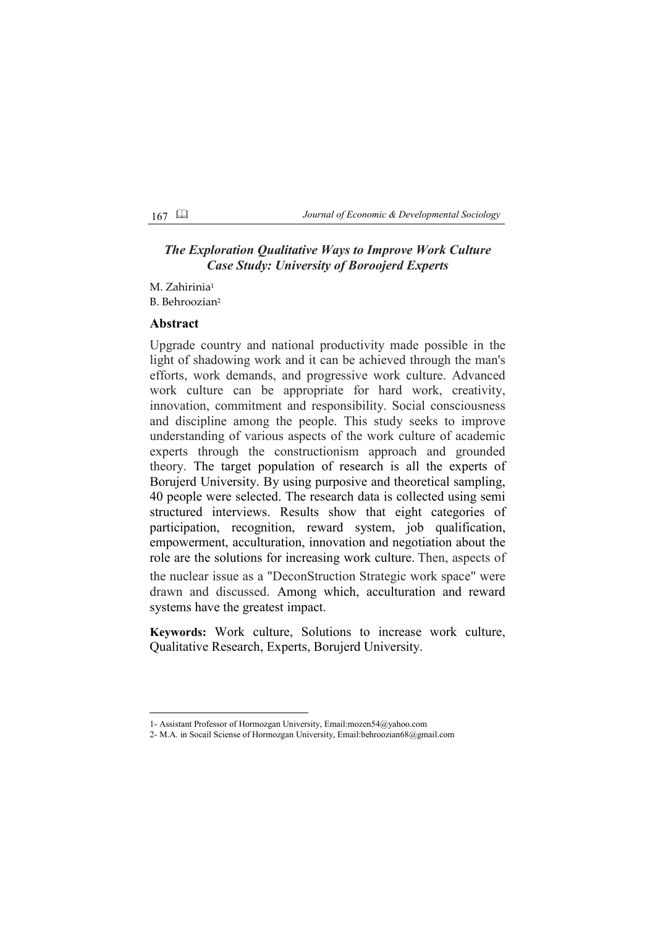167 *Journal of Economic & Developmental Sociology*

# *The Exploration Qualitative Ways to Improve Work Culture Case Study: University of Boroojerd Experts*

M. Zahirinia<sup>1</sup> B. Behroozian<sup>2</sup>

## **Abstract**

Upgrade country and national productivity made possible in the light of shadowing work and it can be achieved through the man's efforts, work demands, and progressive work culture. Advanced work culture can be appropriate for hard work, creativity, innovation, commitment and responsibility. Social consciousness and discipline among the people. This study seeks to improve understanding of various aspects of the work culture of academic experts through the constructionism approach and grounded theory. The target population of research is all the experts of Borujerd University. By using purposive and theoretical sampling, 40 people were selected. The research data is collected using semi structured interviews. Results show that eight categories of participation, recognition, reward system, job qualification, empowerment, acculturation, innovation and negotiation about the role are the solutions for increasing work culture. Then, aspects of the nuclear issue as a "DeconStruction Strategic work space" were drawn and discussed. Among which, acculturation and reward systems have the greatest impact.

**Keywords:** Work culture, Solutions to increase work culture, Qualitative Research, Experts, Borujerd University.

<sup>1-</sup> Assistant Professor of Hormozgan University, Email:mozen54@yahoo.com

<sup>2-</sup> M.A. in Socail Sciense of Hormozgan University, Email:behroozian68@gmail.com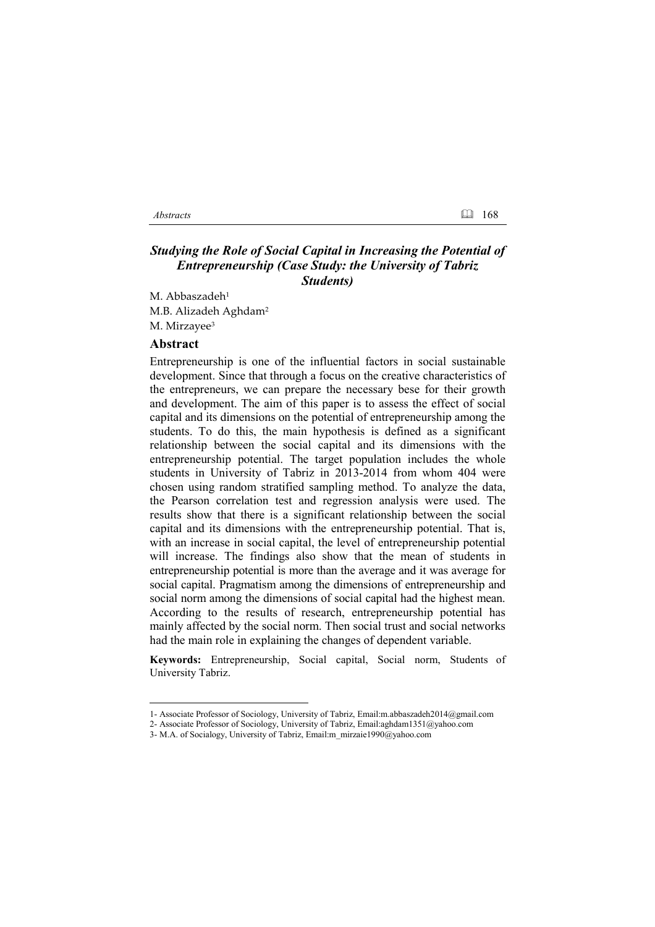### *Abstracts* 168

## *Studying the Role of Social Capital in Increasing the Potential of Entrepreneurship (Case Study: the University of Tabriz Students)*

M. Abbaszadeh<sup>1</sup> M.B. Alizadeh Aghdam� M. Mirzayee<sup>3</sup>

#### **Abstract**

Entrepreneurship is one of the influential factors in social sustainable development. Since that through a focus on the creative characteristics of the entrepreneurs, we can prepare the necessary bese for their growth and development. The aim of this paper is to assess the effect of social capital and its dimensions on the potential of entrepreneurship among the students. To do this, the main hypothesis is defined as a significant relationship between the social capital and its dimensions with the entrepreneurship potential. The target population includes the whole students in University of Tabriz in 2013-2014 from whom 404 were chosen using random stratified sampling method. To analyze the data, the Pearson correlation test and regression analysis were used. The results show that there is a significant relationship between the social capital and its dimensions with the entrepreneurship potential. That is, with an increase in social capital, the level of entrepreneurship potential will increase. The findings also show that the mean of students in entrepreneurship potential is more than the average and it was average for social capital. Pragmatism among the dimensions of entrepreneurship and social norm among the dimensions of social capital had the highest mean. According to the results of research, entrepreneurship potential has mainly affected by the social norm. Then social trust and social networks had the main role in explaining the changes of dependent variable.

**Keywords:** Entrepreneurship, Social capital, Social norm, Students of University Tabriz.

<sup>1-</sup> Associate Professor of Sociology, University of Tabriz, Email:m.abbaszadeh2014@gmail.com

<sup>2-</sup> Associate Professor of Sociology, University of Tabriz, Email:aghdam1351@yahoo.com

<sup>3-</sup> M.A. of Socialogy, University of Tabriz, Email:m\_mirzaie1990@yahoo.com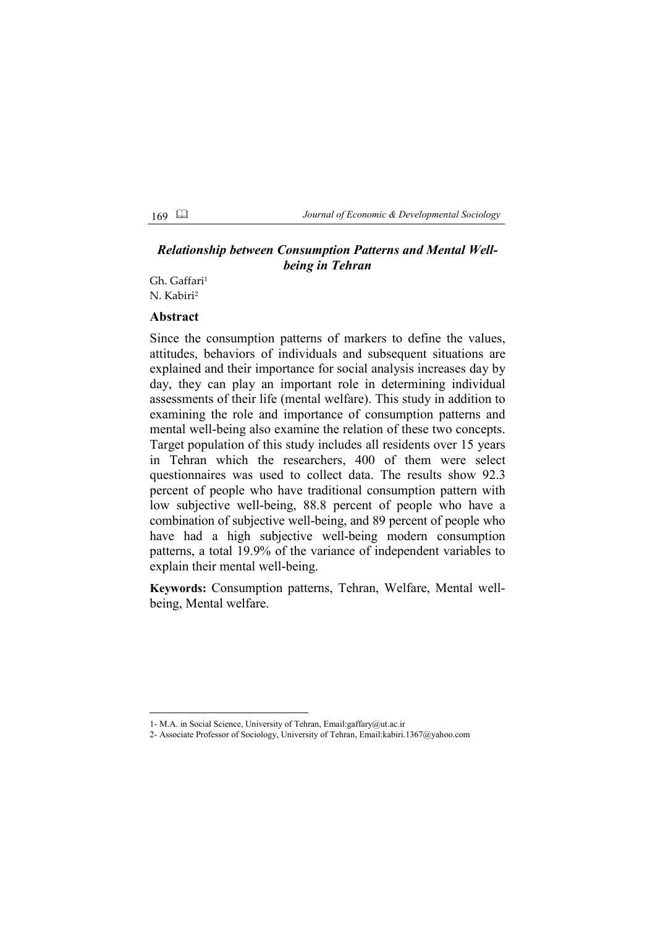169 *Journal of Economic & Developmental Sociology*

# *Relationship between Consumption Patterns and Mental Wellbeing in Tehran*

Gh. Gaffari<sup>1</sup> N. Kabiri<sup>2</sup>

#### **Abstract**

Since the consumption patterns of markers to define the values, attitudes, behaviors of individuals and subsequent situations are explained and their importance for social analysis increases day by day, they can play an important role in determining individual assessments of their life (mental welfare). This study in addition to examining the role and importance of consumption patterns and mental well-being also examine the relation of these two concepts. Target population of this study includes all residents over 15 years in Tehran which the researchers, 400 of them were select questionnaires was used to collect data. The results show 92.3 percent of people who have traditional consumption pattern with low subjective well-being, 88.8 percent of people who have a combination of subjective well-being, and 89 percent of people who have had a high subjective well-being modern consumption patterns, a total 19.9% of the variance of independent variables to explain their mental well-being.

**Keywords:** Consumption patterns, Tehran, Welfare, Mental wellbeing, Mental welfare.

<sup>1-</sup> M.A. in Social Science, University of Tehran, Email:gaffary@ut.ac.ir

<sup>2-</sup> Associate Professor of Sociology, University of Tehran, Email:kabiri.1367@yahoo.com